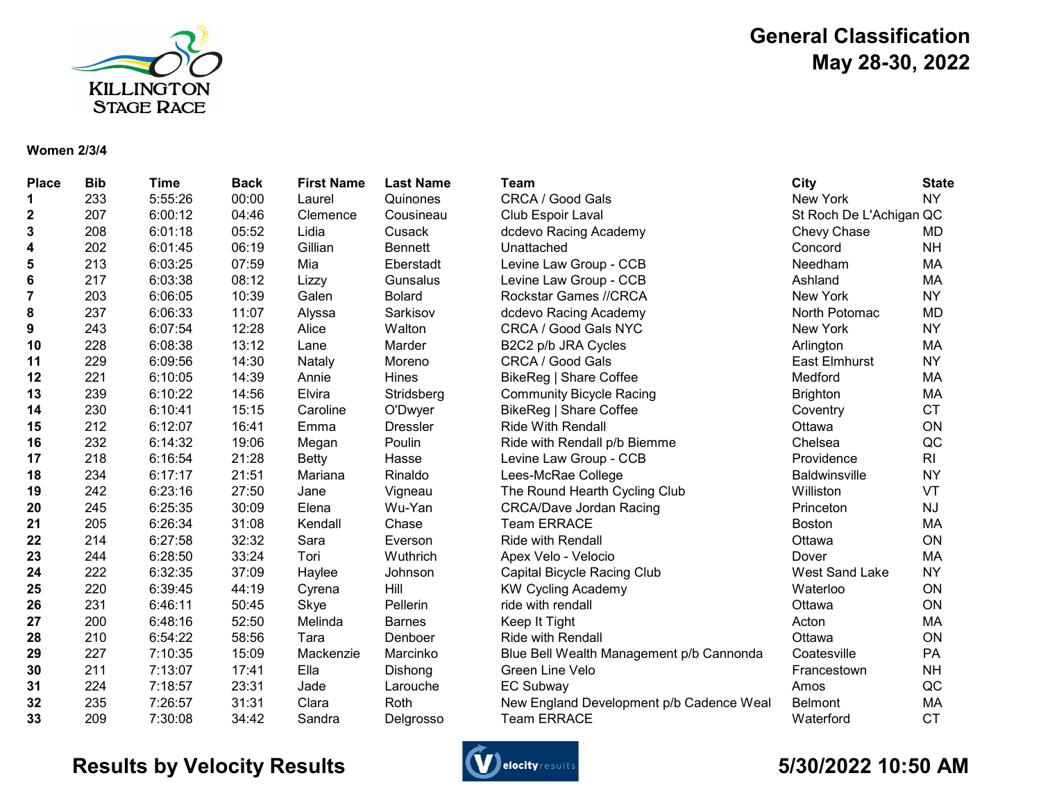

## General Classification May 28-30, 2022

#### Women 2/3/4

| <b>Place</b>            | <b>Bib</b> | <b>Time</b> | <b>Back</b> | <b>First Name</b> | <b>Last Name</b> | Team                                     | City                    | <b>State</b>   |
|-------------------------|------------|-------------|-------------|-------------------|------------------|------------------------------------------|-------------------------|----------------|
| 1                       | 233        | 5:55:26     | 00:00       | Laurel            | Quinones         | CRCA / Good Gals                         | New York                | <b>NY</b>      |
| $\boldsymbol{2}$        | 207        | 6:00:12     | 04:46       | Clemence          | Cousineau        | Club Espoir Laval                        | St Roch De L'Achigan QC |                |
| 3                       | 208        | 6:01:18     | 05:52       | Lidia             | Cusack           | dcdevo Racing Academy                    | Chevy Chase             | MD             |
| 4                       | 202        | 6:01:45     | 06:19       | Gillian           | <b>Bennett</b>   | Unattached                               | Concord                 | <b>NH</b>      |
| 5                       | 213        | 6:03:25     | 07:59       | Mia               | Eberstadt        | Levine Law Group - CCB                   | Needham                 | MA             |
| $6\phantom{1}6$         | 217        | 6:03:38     | 08:12       | Lizzy             | Gunsalus         | Levine Law Group - CCB                   | Ashland                 | МA             |
| $\overline{\mathbf{7}}$ | 203        | 6:06:05     | 10:39       | Galen             | <b>Bolard</b>    | Rockstar Games //CRCA                    | New York                | <b>NY</b>      |
| 8                       | 237        | 6:06:33     | 11:07       | Alyssa            | Sarkisov         | dcdevo Racing Academy                    | North Potomac           | <b>MD</b>      |
| 9                       | 243        | 6:07:54     | 12:28       | Alice             | Walton           | CRCA / Good Gals NYC                     | New York                | <b>NY</b>      |
| 10                      | 228        | 6:08:38     | 13:12       | Lane              | Marder           | B2C2 p/b JRA Cycles                      | Arlington               | МA             |
| 11                      | 229        | 6:09:56     | 14:30       | Nataly            | Moreno           | CRCA / Good Gals                         | East Elmhurst           | <b>NY</b>      |
| 12                      | 221        | 6:10:05     | 14:39       | Annie             | Hines            | BikeReg   Share Coffee                   | Medford                 | MA             |
| 13                      | 239        | 6:10:22     | 14:56       | Elvira            | Stridsberg       | <b>Community Bicycle Racing</b>          | <b>Brighton</b>         | MA             |
| 14                      | 230        | 6:10:41     | 15:15       | Caroline          | O'Dwyer          | BikeReg   Share Coffee                   | Coventry                | <b>CT</b>      |
| 15                      | 212        | 6:12:07     | 16:41       | Emma              | <b>Dressler</b>  | <b>Ride With Rendall</b>                 | Ottawa                  | ON             |
| 16                      | 232        | 6:14:32     | 19:06       | Megan             | Poulin           | Ride with Rendall p/b Biemme             | Chelsea                 | QC             |
| 17                      | 218        | 6:16:54     | 21:28       | <b>Betty</b>      | Hasse            | Levine Law Group - CCB                   | Providence              | R <sub>l</sub> |
| 18                      | 234        | 6:17:17     | 21:51       | Mariana           | Rinaldo          | Lees-McRae College                       | <b>Baldwinsville</b>    | <b>NY</b>      |
| 19                      | 242        | 6:23:16     | 27:50       | Jane              | Vigneau          | The Round Hearth Cycling Club            | Williston               | VT             |
| 20                      | 245        | 6:25:35     | 30:09       | Elena             | Wu-Yan           | <b>CRCA/Dave Jordan Racing</b>           | Princeton               | NJ             |
| 21                      | 205        | 6:26:34     | 31:08       | Kendall           | Chase            | <b>Team ERRACE</b>                       | <b>Boston</b>           | MA             |
| 22                      | 214        | 6:27:58     | 32:32       | Sara              | Everson          | <b>Ride with Rendall</b>                 | Ottawa                  | ON             |
| 23                      | 244        | 6:28:50     | 33:24       | Tori              | Wuthrich         | Apex Velo - Velocio                      | Dover                   | MA             |
| 24                      | 222        | 6:32:35     | 37:09       | Haylee            | Johnson          | Capital Bicycle Racing Club              | West Sand Lake          | <b>NY</b>      |
| 25                      | 220        | 6:39:45     | 44:19       | Cyrena            | Hill             | <b>KW Cycling Academy</b>                | Waterloo                | ON             |
| 26                      | 231        | 6:46:11     | 50:45       | Skye              | Pellerin         | ride with rendall                        | Ottawa                  | ON             |
| 27                      | 200        | 6:48:16     | 52:50       | Melinda           | <b>Barnes</b>    | Keep It Tight                            | Acton                   | MA             |
| 28                      | 210        | 6:54:22     | 58:56       | Tara              | Denboer          | <b>Ride with Rendall</b>                 | Ottawa                  | ON             |
| 29                      | 227        | 7:10:35     | 15:09       | Mackenzie         | Marcinko         | Blue Bell Wealth Management p/b Cannonda | Coatesville             | PA             |
| 30                      | 211        | 7:13:07     | 17:41       | Ella              | Dishong          | Green Line Velo                          | Francestown             | <b>NH</b>      |
| 31                      | 224        | 7:18:57     | 23:31       | Jade              | Larouche         | <b>EC Subway</b>                         | Amos                    | QC             |
| 32                      | 235        | 7:26:57     | 31:31       | Clara             | Roth             | New England Development p/b Cadence Weal | <b>Belmont</b>          | MA             |
| 33                      | 209        | 7:30:08     | 34:42       | Sandra            | Delgrosso        | <b>Team ERRACE</b>                       | Waterford               | <b>CT</b>      |

## Results by Velocity Results **Conserversions** Construction and the State of the State of the State of the State of AM